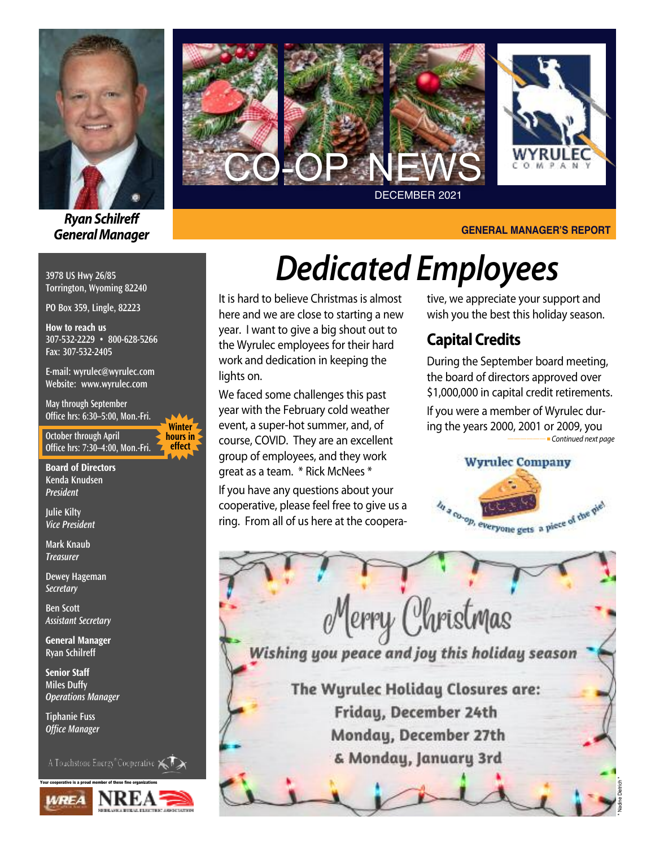

*RyanSchilreff General Manager*

**3978 US Hwy 26/85 Torrington, Wyoming 82240**

**PO Box 359, Lingle, 82223**

**How to reach us 307-532-2229 • 800-628-5266 Fax: 307-532-2405**

**E-mail: wyrulec@wyrulec.com Website: www.wyrulec.com**

**May through September Office hrs: 6:30–5:00, Mon.-Fri.**

**October through April Office hrs: 7:30–4:00, Mon.-Fri.**

**Winter hours in effect**

**Board of Directors Kenda Knudsen** *President*

**Julie Kilty** *Vice President*

**Mark Knaub** *Treasurer*

**Dewey Hageman** *Secretary*

**Ben Scott** *Assistant Secretary*

**General Manager Ryan Schilreff**

**Senior Staff Miles Duffy** *Operations Manager*

**Tiphanie Fuss** *Office Manager*

A Touchstone Energy<sup>®</sup>Cooperative  $\leqslant$ 





#### **GENERAL MANAGER'S REPORT**

# *Dedicated Employees*

It is hard to believe Christmas is almost here and we are close to starting a new year. I want to give a big shout out to the Wyrulec employees for their hard work and dedication in keeping the lights on.

We faced some challenges this past year with the February cold weather event, a super-hot summer, and, of course, COVID. They are an excellent group of employees, and they work great as a team. \* Rick McNees \*

If you have any questions about your cooperative, please feel free to give us a ring. From all of us here at the coopera-

### tive, we appreciate your support and wish you the best this holiday season.

### **Capital Credits**

During the September board meeting, the board of directors approved over \$1,000,000 in capital credit retirements.

If you were a member of Wyrulec during the years 2000, 2001 or 2009, you **-Continued next page** 



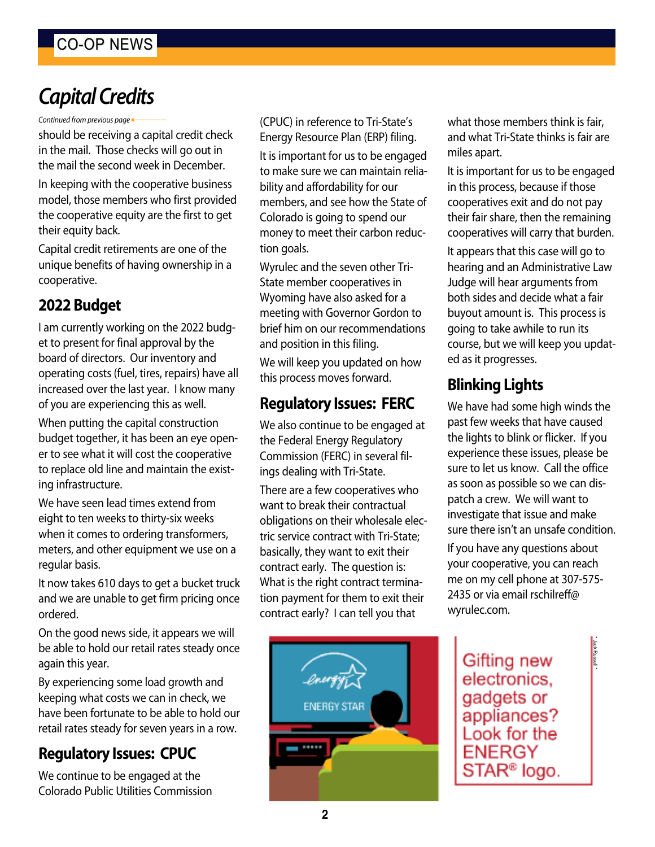### CO-OP NEWS

### *CapitalCredits*

*Continued from previous page* 

should be receiving a capital credit check in the mail. Those checks will go out in the mail the second week in December.

In keeping with the cooperative business model, those members who first provided the cooperative equity are the first to get their equity back.

Capital credit retirements are one of the unique benefits of having ownership in a cooperative.

### **2022 Budget**

I am currently working on the 2022 budget to present for final approval by the board of directors. Our inventory and operating costs (fuel, tires, repairs) have all increased over the last year. I know many of you are experiencing this as well.

When putting the capital construction budget together, it has been an eye opener to see what it will cost the cooperative to replace old line and maintain the existing infrastructure.

We have seen lead times extend from eight to ten weeks to thirty-six weeks when it comes to ordering transformers, meters, and other equipment we use on a regular basis.

It now takes 610 days to get a bucket truck and we are unable to get firm pricing once ordered.

On the good news side, it appears we will be able to hold our retail rates steady once again this year.

By experiencing some load growth and keeping what costs we can in check, we have been fortunate to be able to hold our retail rates steady for seven years in a row.

### **Regulatory Issues: CPUC**

We continue to be engaged at the Colorado Public Utilities Commission (CPUC) in reference to Tri-State's Energy Resource Plan (ERP) filing.

It is important for us to be engaged to make sure we can maintain reliability and affordability for our members, and see how the State of Colorado is going to spend our money to meet their carbon reduction goals.

Wyrulec and the seven other Tri-State member cooperatives in Wyoming have also asked for a meeting with Governor Gordon to brief him on our recommendations and position in this filing.

We will keep you updated on how this process moves forward.

### **Regulatory Issues: FERC**

We also continue to be engaged at the Federal Energy Regulatory Commission (FERC) in several filings dealing with Tri-State.

There are a few cooperatives who want to break their contractual obligations on their wholesale electric service contract with Tri-State; basically, they want to exit their contract early. The question is: What is the right contract termination payment for them to exit their contract early? I can tell you that



what those members think is fair, and what Tri-State thinks is fair are miles apart.

It is important for us to be engaged in this process, because if those cooperatives exit and do not pay their fair share, then the remaining cooperatives will carry that burden.

It appears that this case will go to hearing and an Administrative Law Judge will hear arguments from both sides and decide what a fair buyout amount is. This process is going to take awhile to run its course, but we will keep you updated as it progresses.

### **Blinking Lights**

We have had some high winds the past few weeks that have caused the lights to blink or flicker. If you experience these issues, please be sure to let us know. Call the office as soon as possible so we can dispatch a crew. We will want to investigate that issue and make sure there isn't an unsafe condition.

If you have any questions about your cooperative, you can reach me on my cell phone at 307-575- 2435 or via email rschilreff@ wyrulec.com.

**Gifting new** electronics, gadgets or appliances? Look for the **ENERGY** STAR<sup>®</sup> logo.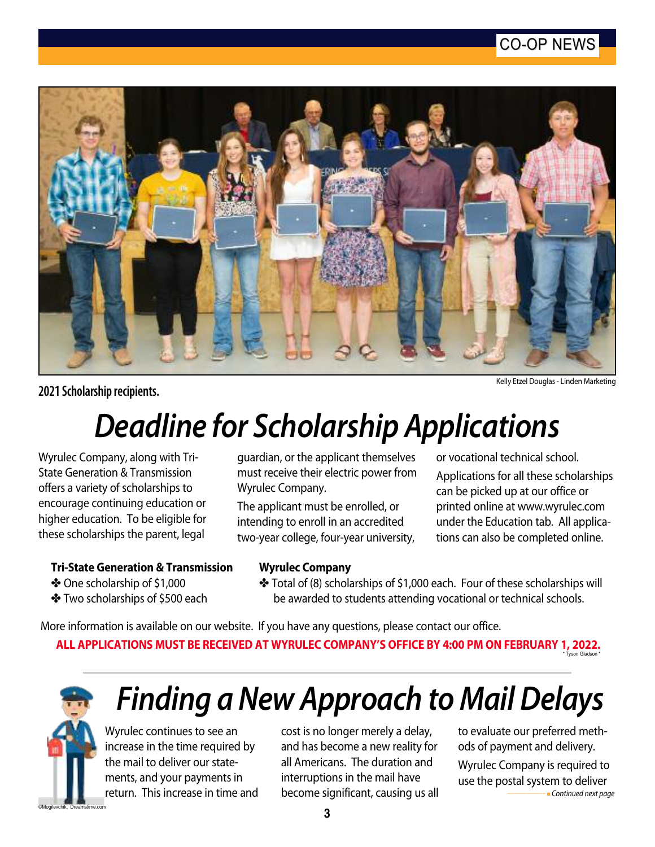### CO-OP NEWS



**2021 Scholarship recipients.**

Kelly Etzel Douglas- Linden Marketing

## *Deadline for Scholarship Applications*

Wyrulec Company, along with Tri-State Generation & Transmission offers a variety of scholarships to encourage continuing education or higher education. To be eligible for these scholarships the parent, legal

guardian, or the applicant themselves must receive their electric power from Wyrulec Company.

The applicant must be enrolled, or intending to enroll in an accredited two-year college, four-year university, or vocational technical school.

Applications for all these scholarships can be picked up at our office or printed online at www.wyrulec.com under the Education tab. All applications can also be completed online.

#### **Tri-State Generation & Transmission**

- $\clubsuit$  One scholarship of \$1,000
- $\cdot$  Two scholarships of \$500 each
- **Wyrulec Company** \* Total of (8) scholarships of \$1,000 each. Four of these scholarships will be awarded to students attending vocational or technical schools.

More information is available on our website. If you have any questions, please contact our office. **ALL APPLICATIONS MUST BE RECEIVED AT WYRULEC COMPANY'S OFFICE BY 4:00 PM ON FEBRUARY 1, 2022.** son Glads



# *Finding a New Approach to Mail Delays*

Wyrulec continues to see an increase in the time required by the mail to deliver our statements, and your payments in return. This increase in time and

cost is no longer merely a delay, and has become a new reality for all Americans. The duration and interruptions in the mail have become significant, causing us all to evaluate our preferred methods of payment and delivery. Wyrulec Company is required to use the postal system to deliver *——————* <sup>n</sup> *Continued next page*